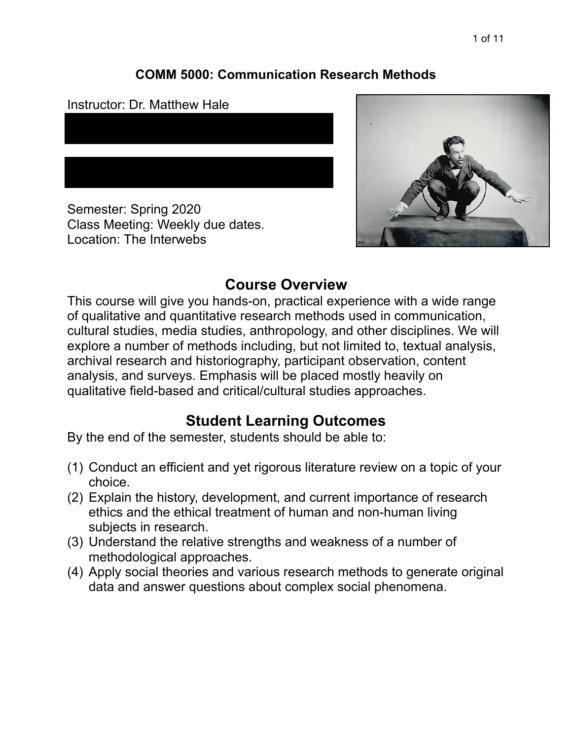### **COMM 5000: Communication Research Methods**

Instructor: Dr. Matthew Hale

Semester: Spring 2020 Class Meeting: Weekly due dates. Location: The Interwebs



# **Course Overview**

This course will give you hands-on, practical experience with a wide range of qualitative and quantitative research methods used in communication, cultural studies, media studies, anthropology, and other disciplines. We will explore a number of methods including, but not limited to, textual analysis, archival research and historiography, participant observation, content analysis, and surveys. Emphasis will be placed mostly heavily on qualitative field-based and critical/cultural studies approaches.

# **Student Learning Outcomes**

By the end of the semester, students should be able to:

- (1) Conduct an efficient and yet rigorous literature review on a topic of your choice.
- (2) Explain the history, development, and current importance of research ethics and the ethical treatment of human and non-human living subjects in research.
- (3) Understand the relative strengths and weakness of a number of methodological approaches.
- (4) Apply social theories and various research methods to generate original data and answer questions about complex social phenomena.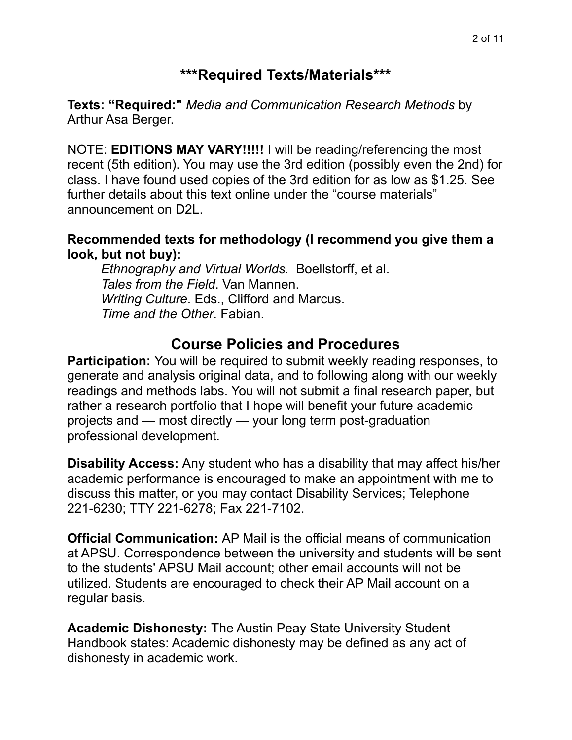## **\*\*\*Required Texts/Materials\*\*\***

**Texts: "Required:"** *Media and Communication Research Methods* by Arthur Asa Berger.

NOTE: **EDITIONS MAY VARY!!!!!** I will be reading/referencing the most recent (5th edition). You may use the 3rd edition (possibly even the 2nd) for class. I have found used copies of the 3rd edition for as low as \$1.25. See further details about this text online under the "course materials" announcement on D2L.

#### **Recommended texts for methodology (I recommend you give them a look, but not buy):**

*Ethnography and Virtual Worlds.* Boellstorff, et al.  *Tales from the Field*. Van Mannen. *Writing Culture*. Eds., Clifford and Marcus. *Time and the Other*. Fabian.

## **Course Policies and Procedures**

**Participation:** You will be required to submit weekly reading responses, to generate and analysis original data, and to following along with our weekly readings and methods labs. You will not submit a final research paper, but rather a research portfolio that I hope will benefit your future academic projects and — most directly — your long term post-graduation professional development.

**Disability Access:** Any student who has a disability that may affect his/her academic performance is encouraged to make an appointment with me to discuss this matter, or you may contact Disability Services; Telephone 221-6230; TTY 221-6278; Fax 221-7102.

**Official Communication:** AP Mail is the official means of communication at APSU. Correspondence between the university and students will be sent to the students' APSU Mail account; other email accounts will not be utilized. Students are encouraged to check their AP Mail account on a regular basis.

**Academic Dishonesty:** The Austin Peay State University Student Handbook states: Academic dishonesty may be defined as any act of dishonesty in academic work.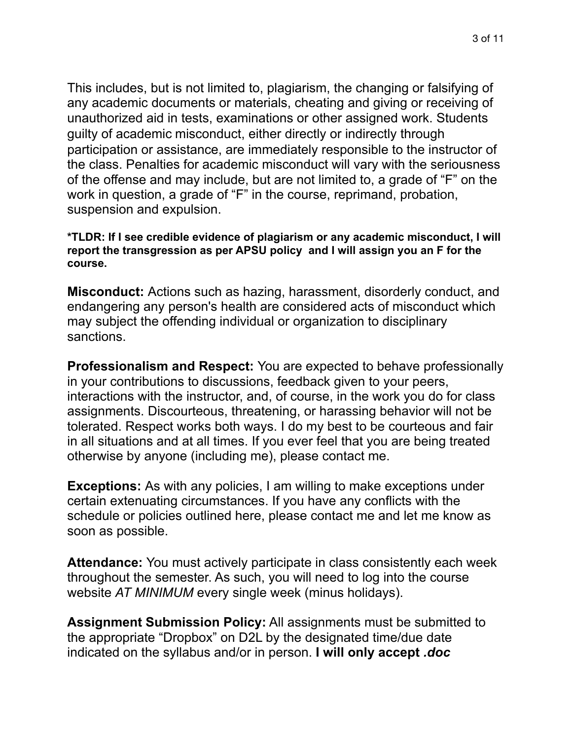This includes, but is not limited to, plagiarism, the changing or falsifying of any academic documents or materials, cheating and giving or receiving of unauthorized aid in tests, examinations or other assigned work. Students guilty of academic misconduct, either directly or indirectly through participation or assistance, are immediately responsible to the instructor of the class. Penalties for academic misconduct will vary with the seriousness of the offense and may include, but are not limited to, a grade of "F" on the work in question, a grade of "F" in the course, reprimand, probation, suspension and expulsion.

**\*TLDR: If I see credible evidence of plagiarism or any academic misconduct, I will report the transgression as per APSU policy and I will assign you an F for the course.** 

**Misconduct:** Actions such as hazing, harassment, disorderly conduct, and endangering any person's health are considered acts of misconduct which may subject the offending individual or organization to disciplinary sanctions.

**Professionalism and Respect:** You are expected to behave professionally in your contributions to discussions, feedback given to your peers, interactions with the instructor, and, of course, in the work you do for class assignments. Discourteous, threatening, or harassing behavior will not be tolerated. Respect works both ways. I do my best to be courteous and fair in all situations and at all times. If you ever feel that you are being treated otherwise by anyone (including me), please contact me.

**Exceptions:** As with any policies, I am willing to make exceptions under certain extenuating circumstances. If you have any conflicts with the schedule or policies outlined here, please contact me and let me know as soon as possible.

**Attendance:** You must actively participate in class consistently each week throughout the semester. As such, you will need to log into the course website *AT MINIMUM* every single week (minus holidays).

**Assignment Submission Policy:** All assignments must be submitted to the appropriate "Dropbox" on D2L by the designated time/due date indicated on the syllabus and/or in person. **I will only accept** *.doc*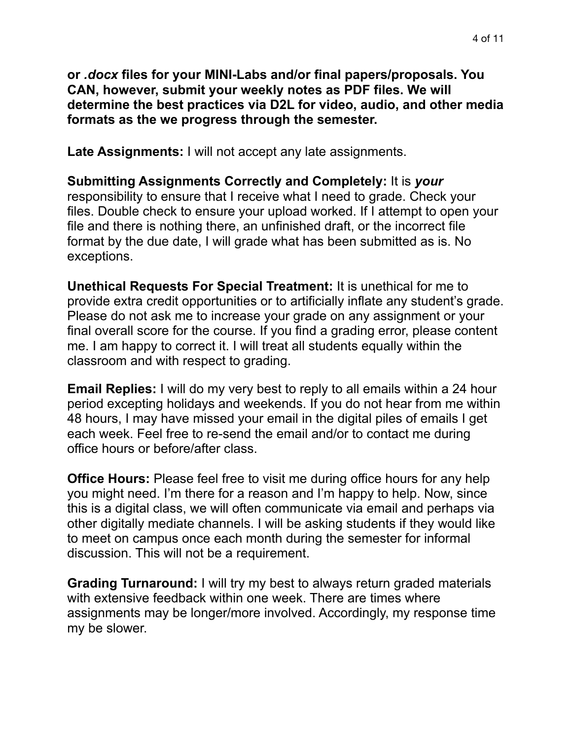**or** *.docx* **files for your MINI-Labs and/or final papers/proposals. You CAN, however, submit your weekly notes as PDF files. We will determine the best practices via D2L for video, audio, and other media formats as the we progress through the semester.** 

**Late Assignments:** I will not accept any late assignments.

**Submitting Assignments Correctly and Completely:** It is *your* responsibility to ensure that I receive what I need to grade. Check your files. Double check to ensure your upload worked. If I attempt to open your file and there is nothing there, an unfinished draft, or the incorrect file format by the due date, I will grade what has been submitted as is. No exceptions.

**Unethical Requests For Special Treatment:** It is unethical for me to provide extra credit opportunities or to artificially inflate any student's grade. Please do not ask me to increase your grade on any assignment or your final overall score for the course. If you find a grading error, please content me. I am happy to correct it. I will treat all students equally within the classroom and with respect to grading.

**Email Replies:** I will do my very best to reply to all emails within a 24 hour period excepting holidays and weekends. If you do not hear from me within 48 hours, I may have missed your email in the digital piles of emails I get each week. Feel free to re-send the email and/or to contact me during office hours or before/after class.

**Office Hours:** Please feel free to visit me during office hours for any help you might need. I'm there for a reason and I'm happy to help. Now, since this is a digital class, we will often communicate via email and perhaps via other digitally mediate channels. I will be asking students if they would like to meet on campus once each month during the semester for informal discussion. This will not be a requirement.

**Grading Turnaround:** I will try my best to always return graded materials with extensive feedback within one week. There are times where assignments may be longer/more involved. Accordingly, my response time my be slower.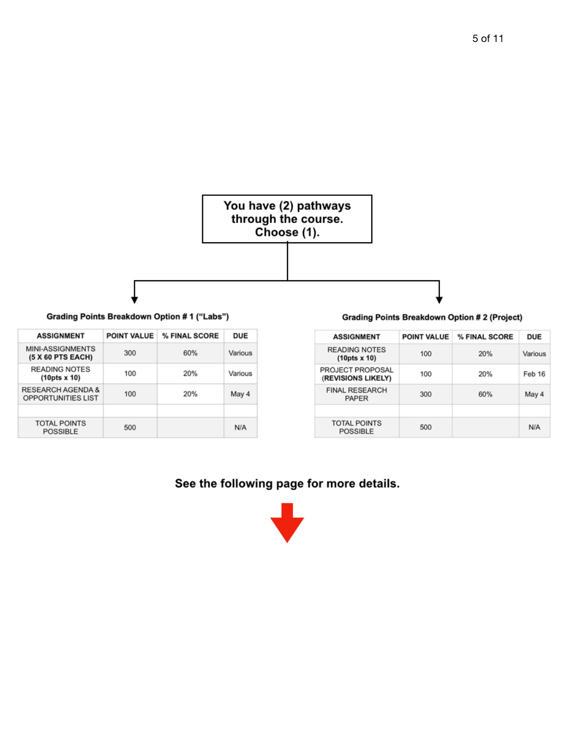

Grading Points Breakdown Option #1 ("Labs")

| <b>ASSIGNMENT</b>                                         | <b>POINT VALUE</b> | % FINAL SCORE | <b>DUE</b> |
|-----------------------------------------------------------|--------------------|---------------|------------|
| <b>MINI-ASSIGNMENTS</b><br>(5 X 60 PTS EACH)              | 300                | 60%           | Various    |
| <b>READING NOTES</b><br>$(10pts \times 10)$               | 100                | 20%           | Various    |
| <b>RESEARCH AGENDA &amp;</b><br><b>OPPORTUNITIES LIST</b> | 100                | 20%           | May 4      |
|                                                           |                    |               |            |
| <b>TOTAL POINTS</b><br><b>POSSIBLE</b>                    | 500                |               | N/A        |

**Grading Points Breakdown Option #2 (Project)** 

| <b>ASSIGNMENT</b>                           | <b>POINT VALUE</b> | % FINAL SCORE | <b>DUE</b> |
|---------------------------------------------|--------------------|---------------|------------|
| <b>READING NOTES</b><br>$(10pts \times 10)$ | 100                | 20%           | Various    |
| PROJECT PROPOSAL<br>(REVISIONS LIKELY)      | 100                | 20%           | Feb 16     |
| <b>FINAL RESEARCH</b><br><b>PAPER</b>       | 300                | 60%           | May 4      |
|                                             |                    |               |            |
| <b>TOTAL POINTS</b><br><b>POSSIBLE</b>      | 500                |               | N/A        |

#### See the following page for more details.

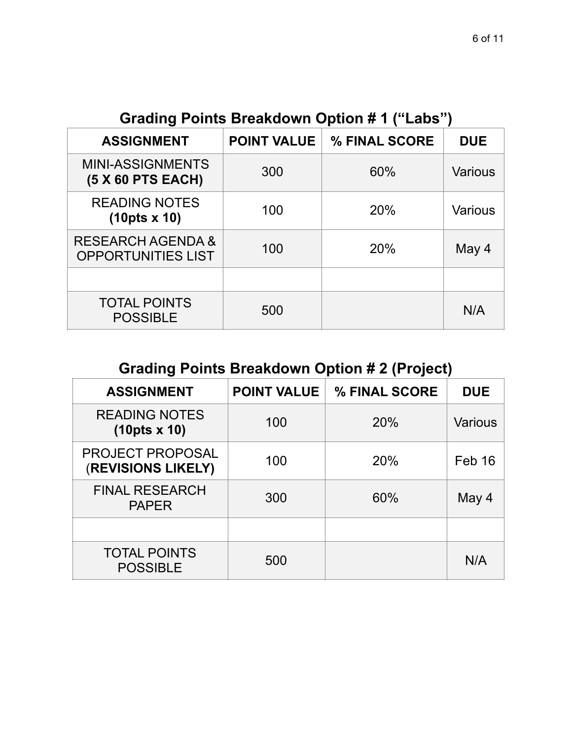**Grading Points Breakdown Option # 1 ("Labs")**

| <b>ASSIGNMENT</b>                              | <b>POINT VALUE</b> | % FINAL SCORE | <b>DUE</b>     |
|------------------------------------------------|--------------------|---------------|----------------|
| <b>MINI-ASSIGNMENTS</b><br>(5 X 60 PTS EACH)   | 300                | 60%           | <b>Various</b> |
| <b>READING NOTES</b><br>$(10pts \times 10)$    | 100                | 20%           | <b>Various</b> |
| RESEARCH AGENDA &<br><b>OPPORTUNITIES LIST</b> | 100                | 20%           | May 4          |
|                                                |                    |               |                |
| <b>TOTAL POINTS</b><br><b>POSSIBLE</b>         | 500                |               | N/A            |

# **Grading Points Breakdown Option # 2 (Project)**

| <b>ASSIGNMENT</b>                           | <b>POINT VALUE</b> | % FINAL SCORE | <b>DUE</b>     |
|---------------------------------------------|--------------------|---------------|----------------|
| <b>READING NOTES</b><br>$(10pts \times 10)$ | 100                | 20%           | <b>Various</b> |
| PROJECT PROPOSAL<br>(REVISIONS LIKELY)      | 100                | 20%           | Feb 16         |
| <b>FINAL RESEARCH</b><br><b>PAPER</b>       | 300                | 60%           | May 4          |
|                                             |                    |               |                |
| <b>TOTAL POINTS</b><br><b>POSSIBLE</b>      | 500                |               | N/A            |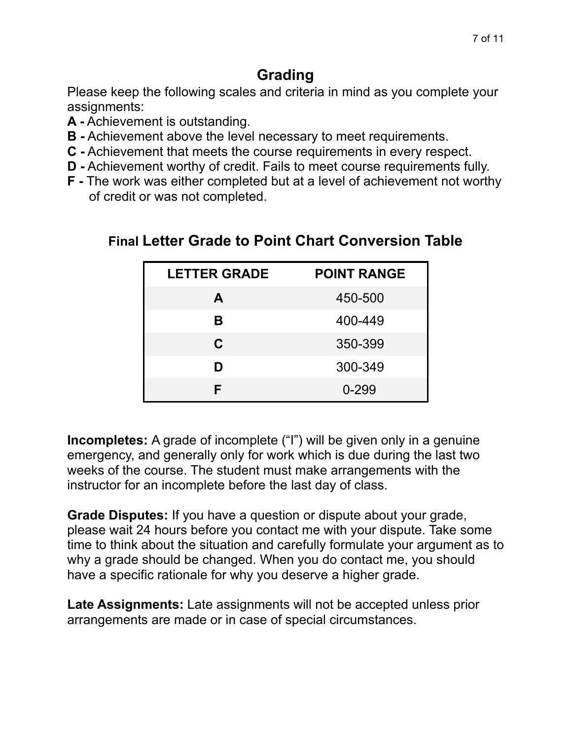# **Grading**

Please keep the following scales and criteria in mind as you complete your assignments:

- **A -** Achievement is outstanding.
- **B -** Achievement above the level necessary to meet requirements.
- **C -** Achievement that meets the course requirements in every respect.
- **D -** Achievement worthy of credit. Fails to meet course requirements fully.
- **F -** The work was either completed but at a level of achievement not worthy of credit or was not completed.

| <b>LETTER GRADE</b> | <b>POINT RANGE</b> |
|---------------------|--------------------|
| A                   | 450-500            |
| В                   | 400-449            |
| C                   | 350-399            |
| D                   | 300-349            |
| F                   | $0 - 299$          |

# **Final Letter Grade to Point Chart Conversion Table**

**Incompletes:** A grade of incomplete ("I") will be given only in a genuine emergency, and generally only for work which is due during the last two weeks of the course. The student must make arrangements with the instructor for an incomplete before the last day of class.

**Grade Disputes:** If you have a question or dispute about your grade, please wait 24 hours before you contact me with your dispute. Take some time to think about the situation and carefully formulate your argument as to why a grade should be changed. When you do contact me, you should have a specific rationale for why you deserve a higher grade.

**Late Assignments:** Late assignments will not be accepted unless prior arrangements are made or in case of special circumstances.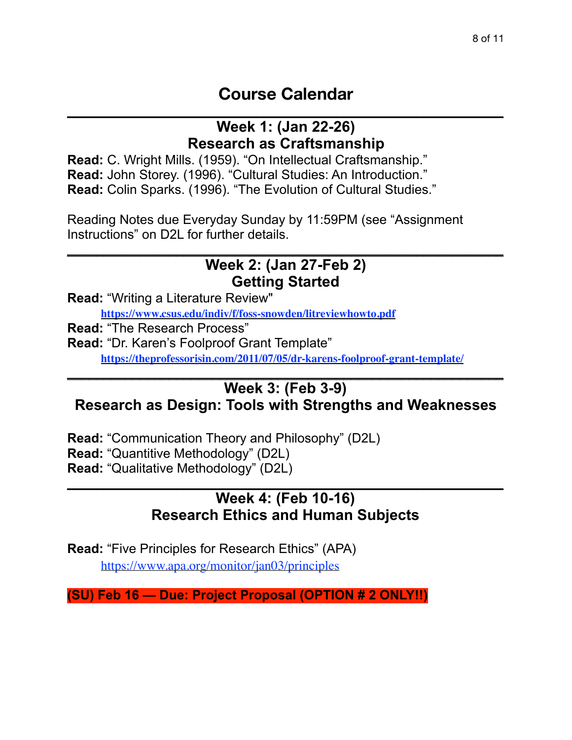## **Course Calendar** \_\_\_\_\_\_\_\_\_\_\_\_\_\_\_\_\_\_\_\_\_\_\_\_\_\_\_\_\_\_\_\_\_\_\_\_\_\_\_\_\_\_\_\_\_\_\_\_\_\_\_\_\_\_\_\_\_\_\_\_

### **Week 1: (Jan 22-26) Research as Craftsmanship**

**Read:** C. Wright Mills. (1959). "On Intellectual Craftsmanship." **Read:** John Storey. (1996). "Cultural Studies: An Introduction." **Read:** Colin Sparks. (1996). "The Evolution of Cultural Studies."

Reading Notes due Everyday Sunday by 11:59PM (see "Assignment Instructions" on D2L for further details.

#### $\mathcal{L}_\text{max}$  and  $\mathcal{L}_\text{max}$  and  $\mathcal{L}_\text{max}$  and  $\mathcal{L}_\text{max}$  and  $\mathcal{L}_\text{max}$  and  $\mathcal{L}_\text{max}$ **Week 2: (Jan 27-Feb 2) Getting Started**

**Read:** "Writing a Literature Review"

**https://www.csus.edu/indiv/f/foss-snowden/litreviewhowto.pdf**

**Read:** "The Research Process"

**Read:** "Dr. Karen's Foolproof Grant Template" **https://theprofessorisin.com/2011/07/05/dr-karens-foolproof-grant-template/**

### **Week 3: (Feb 3-9) Research as Design: Tools with Strengths and Weaknesses**

 $\mathcal{L}_\text{max}$  and  $\mathcal{L}_\text{max}$  and  $\mathcal{L}_\text{max}$  and  $\mathcal{L}_\text{max}$  and  $\mathcal{L}_\text{max}$  and  $\mathcal{L}_\text{max}$ 

**Read:** "Communication Theory and Philosophy" (D2L) **Read: "Quantitive Methodology" (D2L) Read:** "Qualitative Methodology" (D2L)  $\mathcal{L}_\text{max}$  , and the contract of the contract of the contract of the contract of the contract of the contract of the contract of the contract of the contract of the contract of the contract of the contract of the contr

## **Week 4: (Feb 10-16) Research Ethics and Human Subjects**

**Read:** "Five Principles for Research Ethics" (APA) https://www.apa.org/monitor/jan03/principles

**(SU) Feb 16 — Due: Project Proposal (OPTION # 2 ONLY!!)**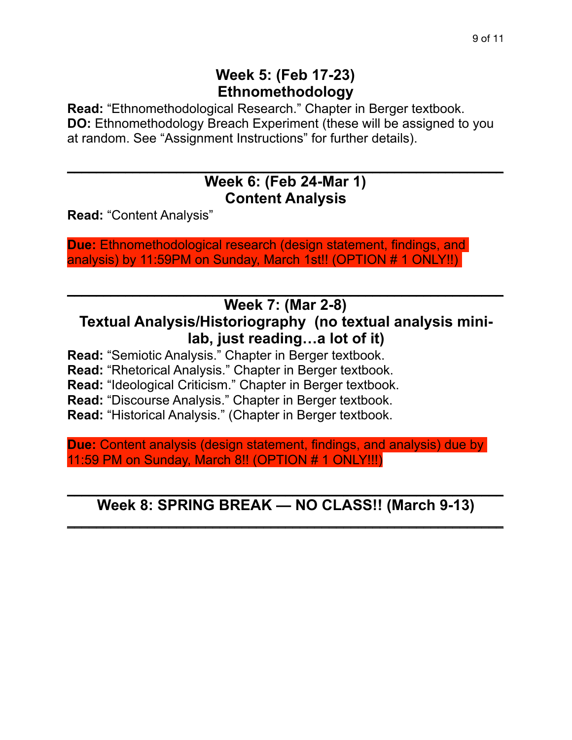## **Week 5: (Feb 17-23) Ethnomethodology**

**Read:** "Ethnomethodological Research." Chapter in Berger textbook. **DO:** Ethnomethodology Breach Experiment (these will be assigned to you at random. See "Assignment Instructions" for further details).

### $\overline{\phantom{a}}$  , and the contract of the contract of the contract of the contract of the contract of the contract of the contract of the contract of the contract of the contract of the contract of the contract of the contrac **Week 6: (Feb 24-Mar 1) Content Analysis**

**Read:** "Content Analysis"

**Due: Ethnomethodological research (design statement, findings, and** analysis) by 11:59PM on Sunday, March 1st!! (OPTION # 1 ONLY!!)

#### $\overline{\phantom{a}}$  , and the contract of the contract of the contract of the contract of the contract of the contract of the contract of the contract of the contract of the contract of the contract of the contract of the contrac **Week 7: (Mar 2-8)**

## **Textual Analysis/Historiography (no textual analysis minilab, just reading…a lot of it)**

**Read:** "Semiotic Analysis." Chapter in Berger textbook.

**Read:** "Rhetorical Analysis." Chapter in Berger textbook.

**Read:** "Ideological Criticism." Chapter in Berger textbook.

**Read:** "Discourse Analysis." Chapter in Berger textbook.

**Read:** "Historical Analysis." (Chapter in Berger textbook.

**Due:** Content analysis (design statement, findings, and analysis) due by 11:59 PM on Sunday, March 8!! (OPTION # 1 ONLY!!!)

#### \_\_\_\_\_\_\_\_\_\_\_\_\_\_\_\_\_\_\_\_\_\_\_\_\_\_\_\_\_\_\_\_\_\_\_\_\_\_\_\_\_\_\_\_\_\_\_\_\_\_\_\_\_\_\_\_\_\_\_\_ **Week 8: SPRING BREAK — NO CLASS!! (March 9-13)**  $\mathcal{L}_\text{max}$  and  $\mathcal{L}_\text{max}$  and  $\mathcal{L}_\text{max}$  and  $\mathcal{L}_\text{max}$  and  $\mathcal{L}_\text{max}$  and  $\mathcal{L}_\text{max}$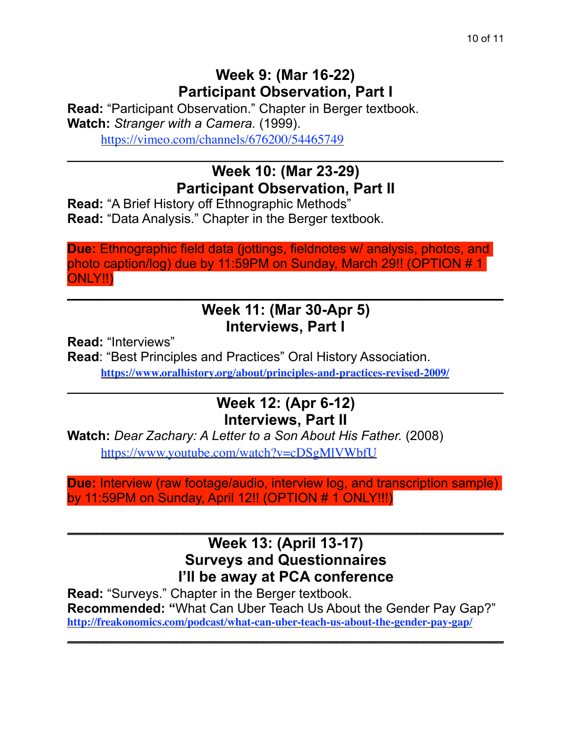## **Week 9: (Mar 16-22) Participant Observation, Part I**

**Read:** "Participant Observation." Chapter in Berger textbook. **Watch:** *Stranger with a Camera.* (1999). https://vimeo.com/channels/676200/54465749

# **Week 10: (Mar 23-29) Participant Observation, Part II**

 $\mathcal{L}_\text{max}$  and  $\mathcal{L}_\text{max}$  and  $\mathcal{L}_\text{max}$  and  $\mathcal{L}_\text{max}$  and  $\mathcal{L}_\text{max}$  and  $\mathcal{L}_\text{max}$ 

**Read:** "A Brief History off Ethnographic Methods" **Read:** "Data Analysis." Chapter in the Berger textbook.

**Due:** Ethnographic field data (jottings, fieldnotes w/ analysis, photos, and photo caption/log) due by 11:59PM on Sunday, March 29!! (OPTION # 1 ONLY!!)

### $\mathcal{L}_\text{max} = \mathcal{L}_\text{max} = \mathcal{L}_\text{max} = \mathcal{L}_\text{max} = \mathcal{L}_\text{max} = \mathcal{L}_\text{max} = \mathcal{L}_\text{max} = \mathcal{L}_\text{max} = \mathcal{L}_\text{max} = \mathcal{L}_\text{max} = \mathcal{L}_\text{max} = \mathcal{L}_\text{max} = \mathcal{L}_\text{max} = \mathcal{L}_\text{max} = \mathcal{L}_\text{max} = \mathcal{L}_\text{max} = \mathcal{L}_\text{max} = \mathcal{L}_\text{max} = \mathcal{$ **Week 11: (Mar 30-Apr 5) Interviews, Part I**

**Read:** "Interviews"

**Read**: "Best Principles and Practices" Oral History Association. **https://www.oralhistory.org/about/principles-and-practices-revised-2009/**

## **Week 12: (Apr 6-12) Interviews, Part II**

 $\mathcal{L}_\text{max}$  and  $\mathcal{L}_\text{max}$  and  $\mathcal{L}_\text{max}$  and  $\mathcal{L}_\text{max}$  and  $\mathcal{L}_\text{max}$  and  $\mathcal{L}_\text{max}$ 

**Watch:** *Dear Zachary: A Letter to a Son About His Father.* (2008) https://www.youtube.com/watch?v=cDSgMlVWbfU

**Due:** Interview (raw footage/audio, interview log, and transcription sample) by 11:59PM on Sunday, April 12!! (OPTION # 1 ONLY!!!)

### $\overline{\phantom{a}}$  , and the contract of the contract of the contract of the contract of the contract of the contract of the contract of the contract of the contract of the contract of the contract of the contract of the contrac **Week 13: (April 13-17) Surveys and Questionnaires I'll be away at PCA conference**

**Read:** "Surveys." Chapter in the Berger textbook. **Recommended: "**What Can Uber Teach Us About the Gender Pay Gap?" **http://freakonomics.com/podcast/what-can-uber-teach-us-about-the-gender-pay-gap/**

\_\_\_\_\_\_\_\_\_\_\_\_\_\_\_\_\_\_\_\_\_\_\_\_\_\_\_\_\_\_\_\_\_\_\_\_\_\_\_\_\_\_\_\_\_\_\_\_\_\_\_\_\_\_\_\_\_\_\_\_